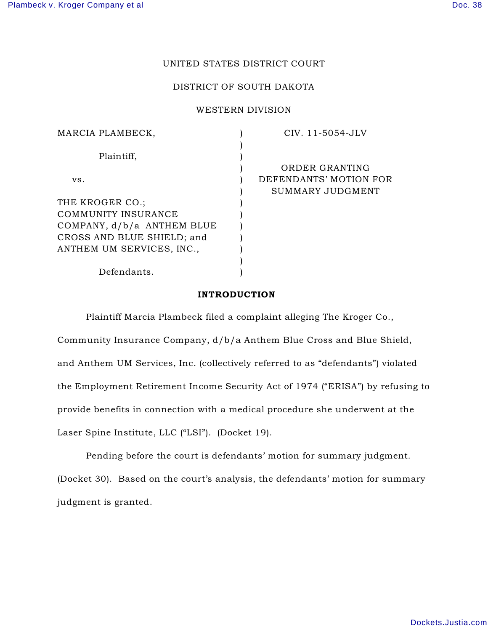# UNITED STATES DISTRICT COURT

## DISTRICT OF SOUTH DAKOTA

## WESTERN DIVISION

| MARCIA PLAMBECK,           | CIV. 11-5054-JLV       |
|----------------------------|------------------------|
|                            |                        |
| Plaintiff,                 |                        |
|                            | ORDER GRANTING         |
| VS.                        | DEFENDANTS' MOTION FOR |
|                            | SUMMARY JUDGMENT       |
| THE KROGER CO.;            |                        |
| COMMUNITY INSURANCE        |                        |
| COMPANY, d/b/a ANTHEM BLUE |                        |
| CROSS AND BLUE SHIELD; and |                        |
| ANTHEM UM SERVICES, INC.,  |                        |
|                            |                        |
| Defendants.                |                        |

## INTRODUCTION

Plaintiff Marcia Plambeck filed a complaint alleging The Kroger Co., Community Insurance Company, d/b/a Anthem Blue Cross and Blue Shield, and Anthem UM Services, Inc. (collectively referred to as "defendants") violated the Employment Retirement Income Security Act of 1974 ("ERISA") by refusing to provide benefits in connection with a medical procedure she underwent at the

Laser Spine Institute, LLC ("LSI"). (Docket 19).

Pending before the court is defendants' motion for summary judgment. (Docket 30). Based on the court's analysis, the defendants' motion for summary judgment is granted.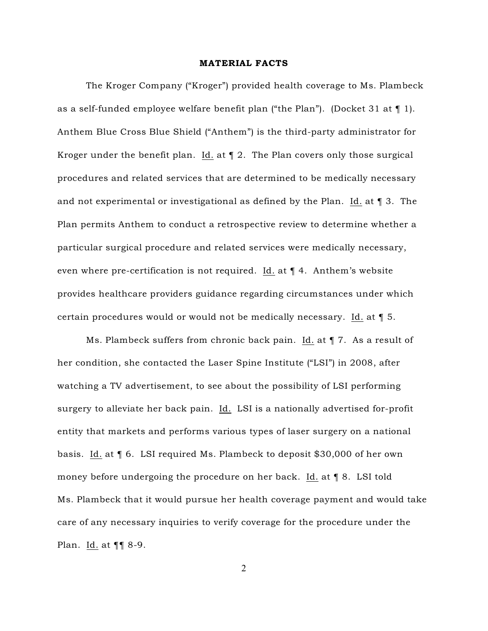#### MATERIAL FACTS

The Kroger Company ("Kroger") provided health coverage to Ms. Plambeck as a self-funded employee welfare benefit plan ("the Plan"). (Docket 31 at  $\P$  1). Anthem Blue Cross Blue Shield ("Anthem") is the third-party administrator for Kroger under the benefit plan. Id. at  $\P$  2. The Plan covers only those surgical procedures and related services that are determined to be medically necessary and not experimental or investigational as defined by the Plan. Id. at  $\P$  3. The Plan permits Anthem to conduct a retrospective review to determine whether a particular surgical procedure and related services were medically necessary, even where pre-certification is not required. Id. at ¶ 4. Anthem's website provides healthcare providers guidance regarding circumstances under which certain procedures would or would not be medically necessary. Id. at ¶ 5.

Ms. Plambeck suffers from chronic back pain. Id. at  $\P$  7. As a result of her condition, she contacted the Laser Spine Institute ("LSI") in 2008, after watching a TV advertisement, to see about the possibility of LSI performing surgery to alleviate her back pain. Id. LSI is a nationally advertised for-profit entity that markets and performs various types of laser surgery on a national basis. Id. at ¶ 6. LSI required Ms. Plambeck to deposit \$30,000 of her own money before undergoing the procedure on her back. Id. at  $\P$  8. LSI told Ms. Plambeck that it would pursue her health coverage payment and would take care of any necessary inquiries to verify coverage for the procedure under the Plan. Id. at ¶¶ 8-9.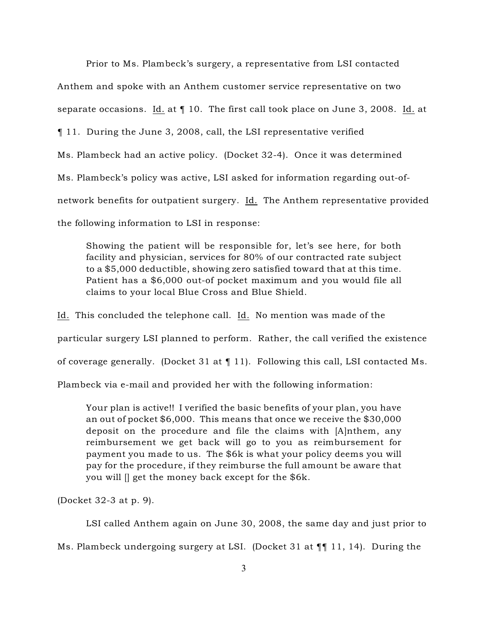Prior to Ms. Plambeck's surgery, a representative from LSI contacted Anthem and spoke with an Anthem customer service representative on two separate occasions. Id. at ¶ 10. The first call took place on June 3, 2008. Id. at ¶ 11. During the June 3, 2008, call, the LSI representative verified Ms. Plambeck had an active policy. (Docket 32-4). Once it was determined Ms. Plambeck's policy was active, LSI asked for information regarding out-ofnetwork benefits for outpatient surgery. Id. The Anthem representative provided the following information to LSI in response:

Showing the patient will be responsible for, let's see here, for both facility and physician, services for 80% of our contracted rate subject to a \$5,000 deductible, showing zero satisfied toward that at this time. Patient has a \$6,000 out-of pocket maximum and you would file all claims to your local Blue Cross and Blue Shield.

Id. This concluded the telephone call. Id. No mention was made of the particular surgery LSI planned to perform. Rather, the call verified the existence of coverage generally. (Docket 31 at ¶ 11). Following this call, LSI contacted Ms. Plambeck via e-mail and provided her with the following information:

Your plan is active!! I verified the basic benefits of your plan, you have an out of pocket \$6,000. This means that once we receive the \$30,000 deposit on the procedure and file the claims with [A]nthem, any reimbursement we get back will go to you as reimbursement for payment you made to us. The \$6k is what your policy deems you will pay for the procedure, if they reimburse the full amount be aware that you will [] get the money back except for the \$6k.

(Docket 32-3 at p. 9).

LSI called Anthem again on June 30, 2008, the same day and just prior to

Ms. Plambeck undergoing surgery at LSI. (Docket 31 at  $\P\P$  11, 14). During the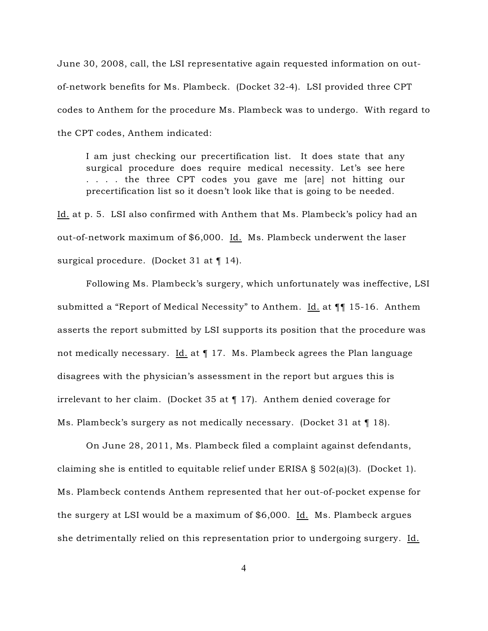June 30, 2008, call, the LSI representative again requested information on outof-network benefits for Ms. Plambeck. (Docket 32-4). LSI provided three CPT codes to Anthem for the procedure Ms. Plambeck was to undergo. With regard to the CPT codes, Anthem indicated:

I am just checking our precertification list. It does state that any surgical procedure does require medical necessity. Let's see here . . . . the three CPT codes you gave me [are] not hitting our precertification list so it doesn't look like that is going to be needed.

Id. at p. 5. LSI also confirmed with Anthem that Ms. Plambeck's policy had an out-of-network maximum of \$6,000. Id. Ms. Plambeck underwent the laser surgical procedure. (Docket 31 at ¶ 14).

Following Ms. Plambeck's surgery, which unfortunately was ineffective, LSI submitted a "Report of Medical Necessity" to Anthem. Id. at ¶¶ 15-16. Anthem asserts the report submitted by LSI supports its position that the procedure was not medically necessary. Id. at  $\P$  17. Ms. Plambeck agrees the Plan language disagrees with the physician's assessment in the report but argues this is irrelevant to her claim. (Docket 35 at ¶ 17). Anthem denied coverage for Ms. Plambeck's surgery as not medically necessary. (Docket 31 at  $\P$  18).

On June 28, 2011, Ms. Plambeck filed a complaint against defendants, claiming she is entitled to equitable relief under ERISA  $\S$  502(a)(3). (Docket 1). Ms. Plambeck contends Anthem represented that her out-of-pocket expense for the surgery at LSI would be a maximum of \$6,000. Id. Ms. Plambeck argues she detrimentally relied on this representation prior to undergoing surgery. Id.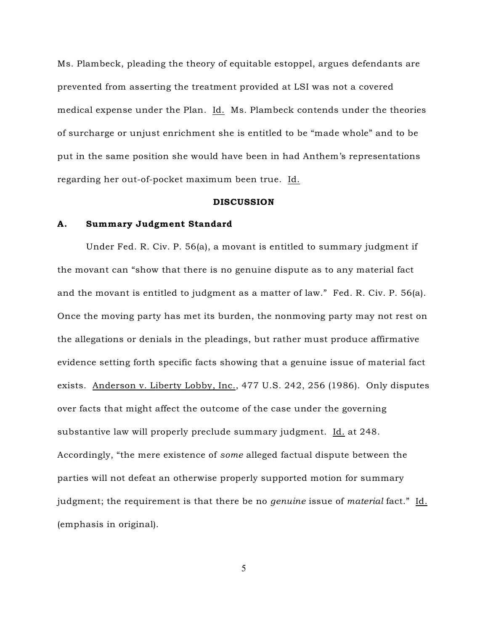Ms. Plambeck, pleading the theory of equitable estoppel, argues defendants are prevented from asserting the treatment provided at LSI was not a covered medical expense under the Plan. Id. Ms. Plambeck contends under the theories of surcharge or unjust enrichment she is entitled to be "made whole" and to be put in the same position she would have been in had Anthem's representations regarding her out-of-pocket maximum been true. Id.

## DISCUSSION

## A. Summary Judgment Standard

Under Fed. R. Civ. P. 56(a), a movant is entitled to summary judgment if the movant can "show that there is no genuine dispute as to any material fact and the movant is entitled to judgment as a matter of law." Fed. R. Civ. P. 56(a). Once the moving party has met its burden, the nonmoving party may not rest on the allegations or denials in the pleadings, but rather must produce affirmative evidence setting forth specific facts showing that a genuine issue of material fact exists. Anderson v. Liberty Lobby, Inc., 477 U.S. 242, 256 (1986). Only disputes over facts that might affect the outcome of the case under the governing substantive law will properly preclude summary judgment. Id. at 248. Accordingly, "the mere existence of *some* alleged factual dispute between the parties will not defeat an otherwise properly supported motion for summary judgment; the requirement is that there be no *genuine* issue of *material* fact." Id. (emphasis in original).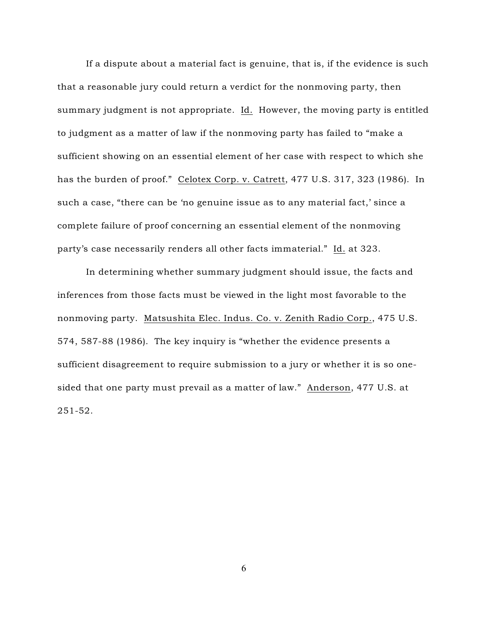If a dispute about a material fact is genuine, that is, if the evidence is such that a reasonable jury could return a verdict for the nonmoving party, then summary judgment is not appropriate. Id. However, the moving party is entitled to judgment as a matter of law if the nonmoving party has failed to "make a sufficient showing on an essential element of her case with respect to which she has the burden of proof." Celotex Corp. v. Catrett, 477 U.S. 317, 323 (1986). In such a case, "there can be 'no genuine issue as to any material fact,' since a complete failure of proof concerning an essential element of the nonmoving party's case necessarily renders all other facts immaterial." Id. at 323.

In determining whether summary judgment should issue, the facts and inferences from those facts must be viewed in the light most favorable to the nonmoving party. Matsushita Elec. Indus. Co. v. Zenith Radio Corp., 475 U.S. 574, 587-88 (1986). The key inquiry is "whether the evidence presents a sufficient disagreement to require submission to a jury or whether it is so onesided that one party must prevail as a matter of law." Anderson, 477 U.S. at 251-52.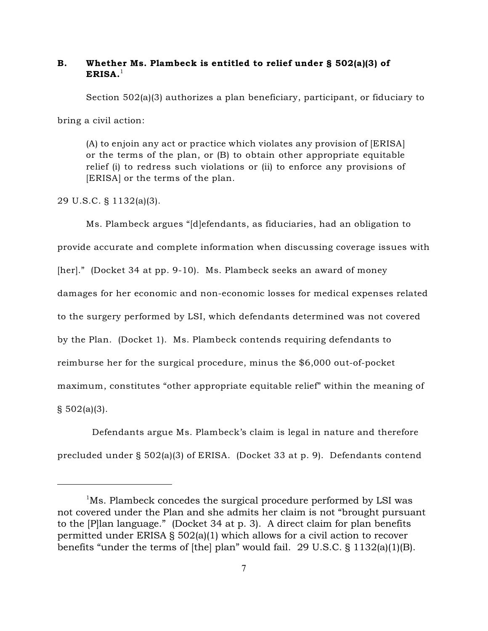# B. Whether Ms. Plambeck is entitled to relief under § 502(a)(3) of  $ERISA.<sup>1</sup>$

Section 502(a)(3) authorizes a plan beneficiary, participant, or fiduciary to

bring a civil action:

(A) to enjoin any act or practice which violates any provision of [ERISA] or the terms of the plan, or (B) to obtain other appropriate equitable relief (i) to redress such violations or (ii) to enforce any provisions of [ERISA] or the terms of the plan.

29 U.S.C. § 1132(a)(3).

Ms. Plambeck argues "[d]efendants, as fiduciaries, had an obligation to provide accurate and complete information when discussing coverage issues with [her]." (Docket 34 at pp. 9-10). Ms. Plambeck seeks an award of money damages for her economic and non-economic losses for medical expenses related to the surgery performed by LSI, which defendants determined was not covered by the Plan. (Docket 1). Ms. Plambeck contends requiring defendants to reimburse her for the surgical procedure, minus the \$6,000 out-of-pocket maximum, constitutes "other appropriate equitable relief" within the meaning of  $\S$  502(a)(3).

 Defendants argue Ms. Plambeck's claim is legal in nature and therefore precluded under § 502(a)(3) of ERISA. (Docket 33 at p. 9). Defendants contend

 $M$ s. Plambeck concedes the surgical procedure performed by LSI was not covered under the Plan and she admits her claim is not "brought pursuant to the [P]lan language." (Docket 34 at p. 3). A direct claim for plan benefits permitted under ERISA § 502(a)(1) which allows for a civil action to recover benefits "under the terms of [the] plan" would fail. 29 U.S.C. § 1132(a)(1)(B).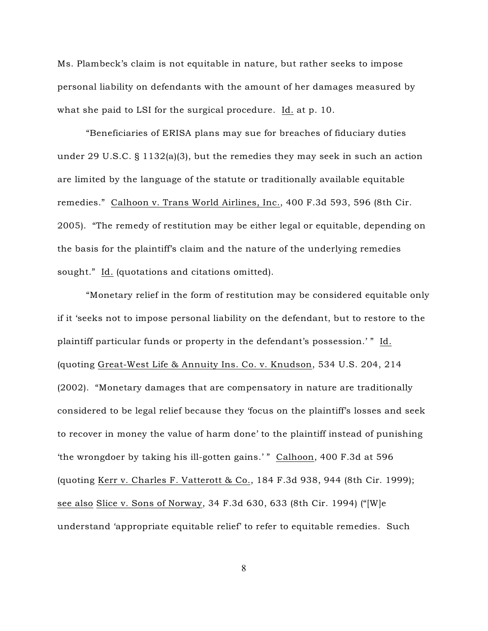Ms. Plambeck's claim is not equitable in nature, but rather seeks to impose personal liability on defendants with the amount of her damages measured by what she paid to LSI for the surgical procedure. Id. at p. 10.

"Beneficiaries of ERISA plans may sue for breaches of fiduciary duties under 29 U.S.C. § 1132(a)(3), but the remedies they may seek in such an action are limited by the language of the statute or traditionally available equitable remedies." Calhoon v. Trans World Airlines, Inc., 400 F.3d 593, 596 (8th Cir. 2005). "The remedy of restitution may be either legal or equitable, depending on the basis for the plaintiff's claim and the nature of the underlying remedies sought." Id. (quotations and citations omitted).

"Monetary relief in the form of restitution may be considered equitable only if it 'seeks not to impose personal liability on the defendant, but to restore to the plaintiff particular funds or property in the defendant's possession.'" Id. (quoting Great-West Life & Annuity Ins. Co. v. Knudson, 534 U.S. 204, 214 (2002). "Monetary damages that are compensatory in nature are traditionally considered to be legal relief because they 'focus on the plaintiff's losses and seek to recover in money the value of harm done' to the plaintiff instead of punishing 'the wrongdoer by taking his ill-gotten gains.' " Calhoon, 400 F.3d at 596 (quoting Kerr v. Charles F. Vatterott & Co., 184 F.3d 938, 944 (8th Cir. 1999); see also Slice v. Sons of Norway, 34 F.3d 630, 633 (8th Cir. 1994) ("[W]e understand 'appropriate equitable relief' to refer to equitable remedies. Such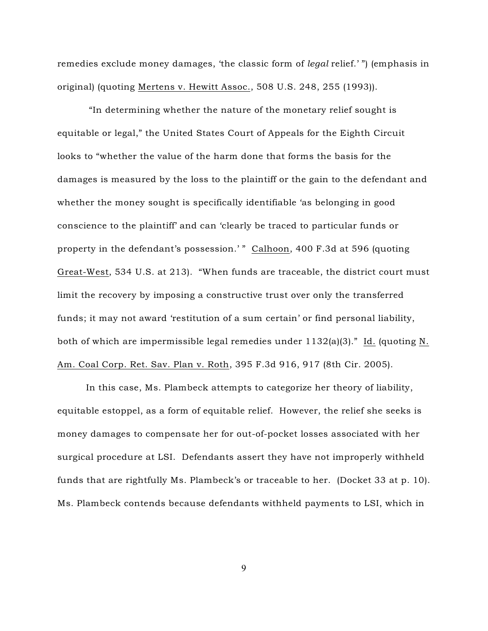remedies exclude money damages, 'the classic form of *legal* relief.' ") (emphasis in original) (quoting Mertens v. Hewitt Assoc., 508 U.S. 248, 255 (1993)).

 "In determining whether the nature of the monetary relief sought is equitable or legal," the United States Court of Appeals for the Eighth Circuit looks to "whether the value of the harm done that forms the basis for the damages is measured by the loss to the plaintiff or the gain to the defendant and whether the money sought is specifically identifiable 'as belonging in good conscience to the plaintiff' and can 'clearly be traced to particular funds or property in the defendant's possession.' " Calhoon, 400 F.3d at 596 (quoting Great-West, 534 U.S. at 213). "When funds are traceable, the district court must limit the recovery by imposing a constructive trust over only the transferred funds; it may not award 'restitution of a sum certain' or find personal liability, both of which are impermissible legal remedies under  $1132(a)(3)$ ." Id. (quoting N. Am. Coal Corp. Ret. Sav. Plan v. Roth, 395 F.3d 916, 917 (8th Cir. 2005).

In this case, Ms. Plambeck attempts to categorize her theory of liability, equitable estoppel, as a form of equitable relief. However, the relief she seeks is money damages to compensate her for out-of-pocket losses associated with her surgical procedure at LSI. Defendants assert they have not improperly withheld funds that are rightfully Ms. Plambeck's or traceable to her. (Docket 33 at p. 10). Ms. Plambeck contends because defendants withheld payments to LSI, which in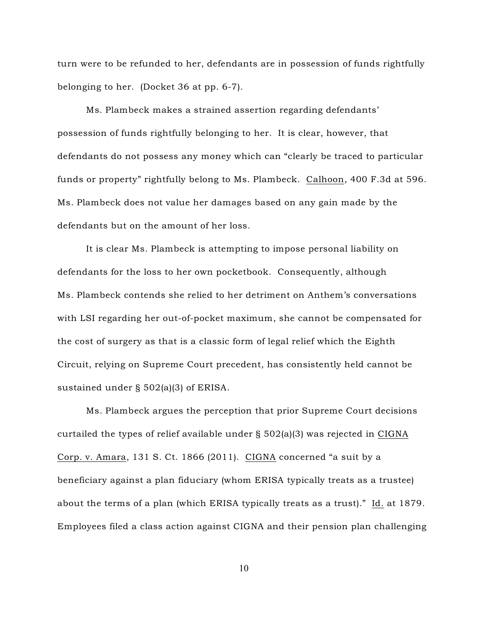turn were to be refunded to her, defendants are in possession of funds rightfully belonging to her. (Docket 36 at pp. 6-7).

Ms. Plambeck makes a strained assertion regarding defendants' possession of funds rightfully belonging to her. It is clear, however, that defendants do not possess any money which can "clearly be traced to particular funds or property" rightfully belong to Ms. Plambeck. Calhoon, 400 F.3d at 596. Ms. Plambeck does not value her damages based on any gain made by the defendants but on the amount of her loss.

It is clear Ms. Plambeck is attempting to impose personal liability on defendants for the loss to her own pocketbook. Consequently, although Ms. Plambeck contends she relied to her detriment on Anthem's conversations with LSI regarding her out-of-pocket maximum, she cannot be compensated for the cost of surgery as that is a classic form of legal relief which the Eighth Circuit, relying on Supreme Court precedent, has consistently held cannot be sustained under § 502(a)(3) of ERISA.

Ms. Plambeck argues the perception that prior Supreme Court decisions curtailed the types of relief available under § 502(a)(3) was rejected in CIGNA Corp. v. Amara, 131 S. Ct. 1866 (2011). CIGNA concerned "a suit by a beneficiary against a plan fiduciary (whom ERISA typically treats as a trustee) about the terms of a plan (which ERISA typically treats as a trust)." Id. at 1879. Employees filed a class action against CIGNA and their pension plan challenging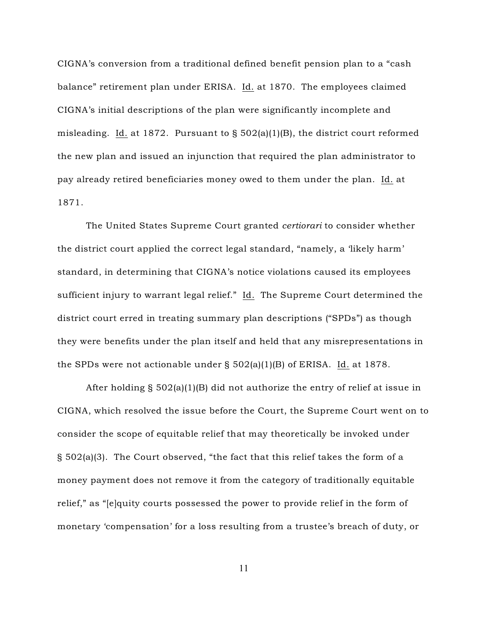CIGNA's conversion from a traditional defined benefit pension plan to a "cash balance" retirement plan under ERISA. Id. at 1870. The employees claimed CIGNA's initial descriptions of the plan were significantly incomplete and misleading. Id. at 1872. Pursuant to § 502(a)(1)(B), the district court reformed the new plan and issued an injunction that required the plan administrator to pay already retired beneficiaries money owed to them under the plan. Id. at 1871.

The United States Supreme Court granted *certiorari* to consider whether the district court applied the correct legal standard, "namely, a 'likely harm' standard, in determining that CIGNA's notice violations caused its employees sufficient injury to warrant legal relief." Id. The Supreme Court determined the district court erred in treating summary plan descriptions ("SPDs") as though they were benefits under the plan itself and held that any misrepresentations in the SPDs were not actionable under § 502(a)(1)(B) of ERISA. Id. at 1878.

After holding  $\S$  502(a)(1)(B) did not authorize the entry of relief at issue in CIGNA, which resolved the issue before the Court, the Supreme Court went on to consider the scope of equitable relief that may theoretically be invoked under § 502(a)(3). The Court observed, "the fact that this relief takes the form of a money payment does not remove it from the category of traditionally equitable relief," as "[e]quity courts possessed the power to provide relief in the form of monetary 'compensation' for a loss resulting from a trustee's breach of duty, or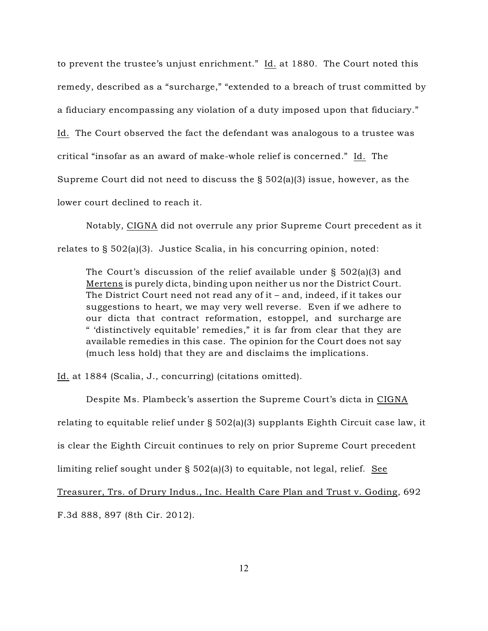to prevent the trustee's unjust enrichment."  $\underline{Id}$  at 1880. The Court noted this remedy, described as a "surcharge," "extended to a breach of trust committed by a fiduciary encompassing any violation of a duty imposed upon that fiduciary." Id. The Court observed the fact the defendant was analogous to a trustee was critical "insofar as an award of make-whole relief is concerned." Id. The Supreme Court did not need to discuss the § 502(a)(3) issue, however, as the lower court declined to reach it.

Notably, CIGNA did not overrule any prior Supreme Court precedent as it relates to  $\S 502(a)(3)$ . Justice Scalia, in his concurring opinion, noted:

The Court's discussion of the relief available under § 502(a)(3) and Mertens is purely dicta, binding upon neither us nor the District Court. The District Court need not read any of it – and, indeed, if it takes our suggestions to heart, we may very well reverse. Even if we adhere to our dicta that contract reformation, estoppel, and surcharge are " 'distinctively equitable' remedies," it is far from clear that they are available remedies in this case. The opinion for the Court does not say (much less hold) that they are and disclaims the implications.

Id. at 1884 (Scalia, J., concurring) (citations omitted).

Despite Ms. Plambeck's assertion the Supreme Court's dicta in CIGNA relating to equitable relief under § 502(a)(3) supplants Eighth Circuit case law, it is clear the Eighth Circuit continues to rely on prior Supreme Court precedent limiting relief sought under § 502(a)(3) to equitable, not legal, relief. See Treasurer, Trs. of Drury Indus., Inc. Health Care Plan and Trust v. Goding, 692 F.3d 888, 897 (8th Cir. 2012).